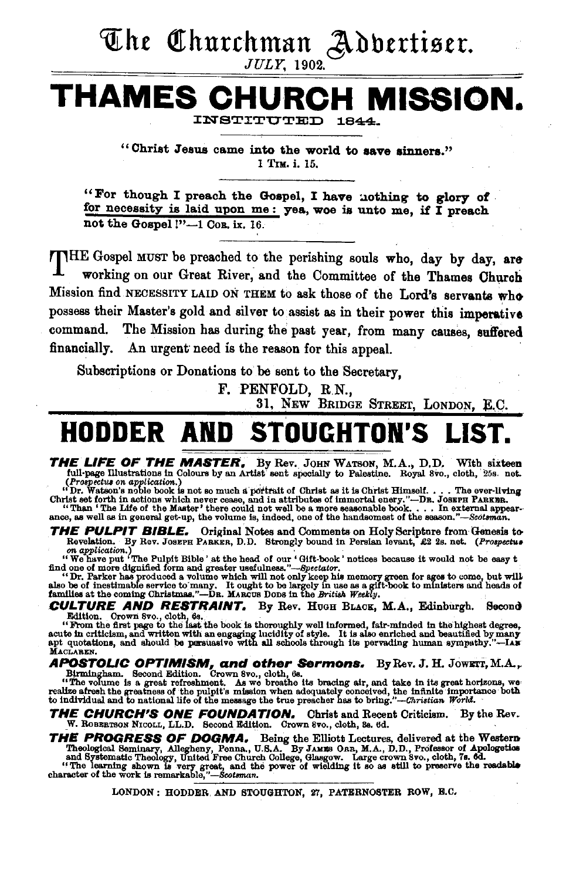## The Churchman Adbertiser.

JULY, 1902.

## **THAMES CHURCH MISSION.**  INSTITUTED

"Christ Jesus came into the world to save sinners." 1 TIM. i. 15.

"For though I preach the Gospel, I have nothing to glory of for necessity is laid upon me: yea, woe is unto me, if I preach not the Gospel !"-1 Cor. ix. 16.

THE Gospel MUST be preached to the perishing souls who, day by day, are working on our Great River, and the Committee of the Thames Church Mission find NECESSITY LAID ON THEM to ask those of the Lord's servants who possess their Master's gold and silver to.assist as in their power this imperative command. The Mission has during the past year, from many causes, suffered financially. An urgent need is the reason for this appeal.

Subscriptions or Donations to be sent to the Secretary,

F. PENFOLD, R.N.,

31. NEW BRIDGE STREET, LONDON, E.C.

## **HODDER AND STOUGHTON**

THE LIFE OF THE MASTER. By Rev. JOHN WATSON, M.A., D.D. With sixteen full-page illustrations in Colours by an Artist sent specially to Palestine. Royal 8vo., cloth, 25s. net.

(Prospective on application.)<br>"Dr. Watson's noble book is not so much a portrait of Christ as it is Christ Himself.... The ever-living Dr. Wasset forth in actions which never cease, and in attributes of inmortal enery."—DR. JOSEFH PAREER.<br>"Than 'The Life of the Master' there could not well be a more seasonable book.... In external appear-<br>ance, as well as

**THE PULPIT BIBLE.** Original Notes and Comments on Holy Scripture from Genesis to-<br>Revelation. By Rev. JOSEPH PARKER, D.D. Strongly bound in Persian levant, £2 2s. net. (*Prospectus* 

on application.)<br>"We have put 'The Pulpit Bible' at the head of our 'Gift-book' notices because it would not be easy t<br>find one of more dignified form and greater usefulness."-Spectator.<br>In a strain his manner great for ag

"Dr. Parker has produced a volume which will not only keep his memory green for ages to come, but will also be<br>also be of inestimable service to many. It ought to be largely in use as a gift-book to ministers and heads of<br>

CULTURE AND RESTRAINT. By Rev. HuGH BLAoK, M.A., Edinburgh. Second

Edition. Grown 8vo., cloth, 6s.<br>"From the first page to the last the book is thoroughly well informed, fair-minded in the highest degree,<br>acute in criticism, and written with an engaging lucidity of style. It is also enric

APOSTOLIC OPTIMISM, and other Sermons. By Rev. J. H. JOWETT, M.A., Birmingham. Second Edition. Crown 8vo., cloth, 6s.<br>"The volume is a great refreshment. As we breathe its bracing air, and take in its great horizons, we<br>re

THE CHURCH'S ONE FOUNDATION. Christ and Recent Criticism. By the Rev. W. ROBERTSON NICOLL, LL.D. Second Edition. Crown 8vo., cloth, Ss. 6d.

THE PROGRESS OF DOGMA. Being the Elliott Lectures, delivered at the Western Theological Seminary, Allegheny, Penna, U.S.A. By JAMES ORB, M.A., D.D., Professor of Apologetios and Systematic Theology, United Free Church Coll

LONDON: HODDER AND STOUGHTON, 27, PATERNOSTER ROW, B.C.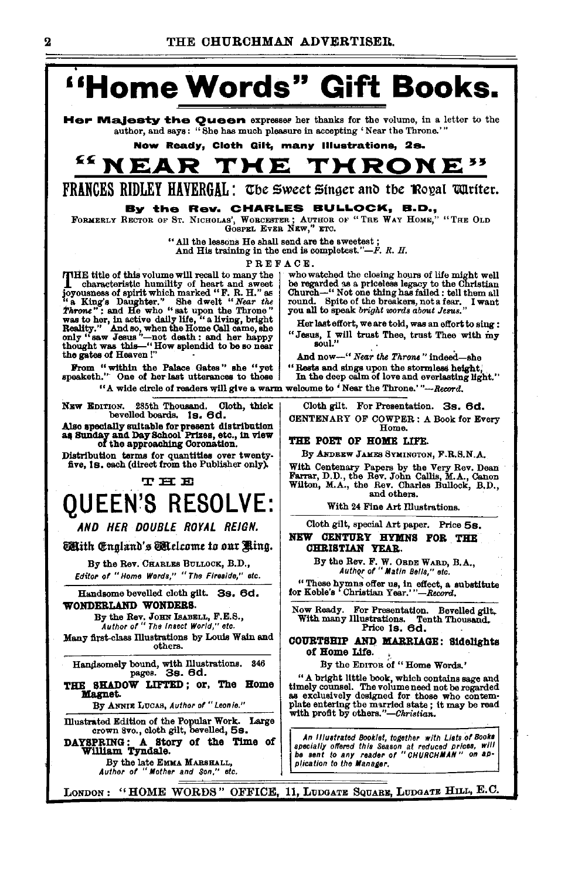

Her Majesty the Oueen expresser her thanks for the volume, in a letter to the author, and says: "She has much pleasure in accepting 'Near the Throne."

Now Ready, Cloth Gilt, many Illustrations, 2s.

#### <sup>55</sup> n E **THRONE**" 1 E

FRANCES RIDLEY HAVERGAL: The Sweet Singer and the Royal Turiter.

#### By the Rev. CHARLES BULLOCK, B.D.,

FORMERLY RECTOR OF ST. NICHOLAS', WORCESTER; AUTHOR OF "THE WAY HOME," "THE OLD GOSFEL EVER NEW," ETC.

" All the lessons He shall send are the sweetest :

And His training in the end is completest." $-F$ . R. H.

PREFACE

**ITHE title of this volume will recall to many the** The title of this volume will recall to many the characteristic humility of heart and sweet<br>ioyousness of spirit which marked "F. R. H." as<br>it a King's Daughter." She dwelt "Wear the " is and the whom the Throne"<br> $\frac{r}{r}$ the gates of Heaven!"

From "within the Palace Gates" she "yet speaketh." One of her last utterances to those "A wide circle of readers will give a warm welcome to 'Near the Throne.'"--Record.

NEW EDITION. 285th Thousand. Cloth, thick bevelled boards. 1s. 6d.

Also specially suitable for present distribution<br>as Sunday and Day School Prizes, etc., in view<br>of the approaching Coronation.

Distribution terms for quantities over twentyfive, 18. each (direct from the Publisher only).

#### **THE**

## **OUEEN'S RESOLVE:**

AND HER DOUBLE ROYAL REIGN.

**Mith C**inaland's **M**elcome to our Kina.

By the Rev. CHARLES BULLOCK, B.D., Editor of "Home Words," "The Fireside," etc.

Handsome bevelled cloth gilt. 3s. 6d. WONDERLAND WONDERS.

By the Rev. JOHN ISABELL, F.E.S.,<br>Author of "The Insect World," etc.

Many first-class Illustrations by Louis Wain and others.

Handsomely bound, with Illustrations. 346 pages. 3s. 6d.

THE SHADOW LIFTED; or, The Home Magnet.

By ANNIE LUCAS, Author of "Leonie."

Illustrated Edition of the Popular Work. Large crown 8vo., cloth gilt, bevelled, 5s. DAYSPRING: A Story of the Time of William Tyndale.

By the late EMMA MARSHALL,<br>Author of "Mother and Son," etc.

who watched the closing hours of life might well be regarded as a priceless legacy to the Christian Church-" Not one thing has failed : tell them all round. Spite of the breakers, not a fear. I want you all to speak bright words about Jesus.

Her last effort, we are told, was an effort to sing : "Jesus, I will trust Thee, trust Thee with my soul."

And now-" Near the Throne" indeed-she "Rests and sings upon the stormless height,

In the deep calm of love and everlasting light."

Cloth gilt. For Presentation. 3s. 6d. CENTENARY OF COWPER: A Book for Every Home.

THE POET OF HOME LIFE.

By ANDREW JAMES SYMINGTON, F.R.S.N.A.

With Centenary Papers by the Very Rev. Dean Farrar, D.D., the Rev. John Callis, M.A., Ganon Wilton, M.A., the Rev. Charles Bullock, B.D., and others.

With 24 Fine Art Illustrations.

Cloth gilt, special Art paper. Price 58.

NEW CENTURY HYMNS FOR THE **CHRISTIAN YEAR.** 

By the Rev. F. W. ORDE WARD, B.A.,<br>Author of "Matin Bells." etc.

"These hymns offer us, in effect, a substitute for Keble's 'Christian Year.'"-Record.

Now Ready. For Presentation. Bevelled gilt. With many Illustrations. Te<br>Price 1s. 6d. Tenth Thousand.

COURTSHIP AND MARRIAGE: Sidelights of Home Life.

By the EDITOR of "Home Words."

"A bright little book, which contains sage and timely counsel. The volume need not be regarded<br>as exclusively designed for those who contemplate entering the married state; it may be read<br>with profit by others."—Christian.

An Illustrated Booklet, together with Lists of Books<br>specially offered this Season at reduced prices, will<br>be sent to any reader of "CHURCHMAN" on application to the Manager.

LONDON: "HOME WORDS" OFFICE, 11, LUDGATE SQUARE, LUDGATE HILL, E.C.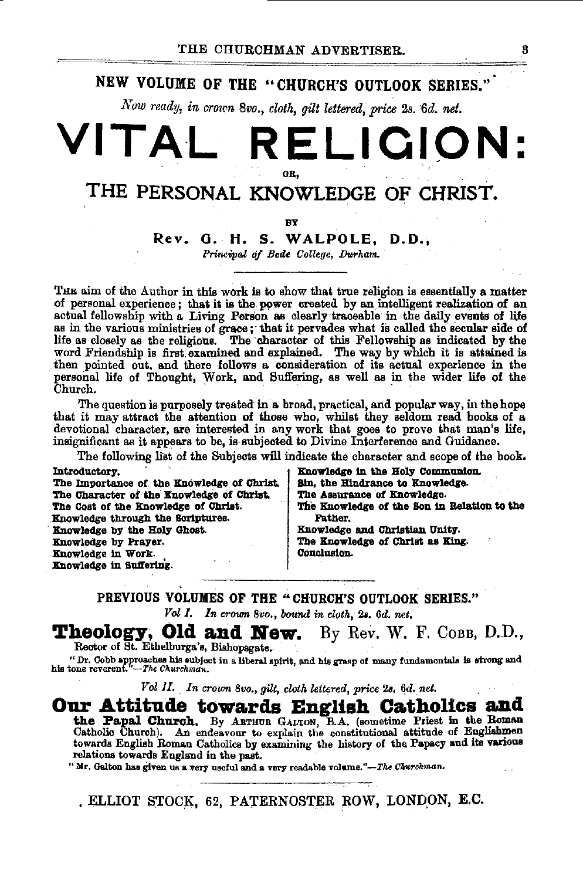## NEW VOLUME OF THE "CHURCH'S OUTLOOK SERIES."

Now ready, in crown 8vo., cloth, gilt lettered, price 2s. 6d. net.

## VITAL **RELIGION:** OR.

## THE PERSONAL KNOWLEDGE OF CHRIST.

BY

## Rev. G. H. S. WALPOLE. D.D..

Principal of Bede College, Durham.

The aim of the Author in this work is to show that true religion is essentially a matter of personal experience; that it is the power created by an intelligent realization of an actual fellowship with a Living Person as clearly traceable in the daily events of life as in the various ministries of grace; that it pervades what is called the secular side of<br>life as closely as the religious. The character of this Fellowship as indicated by the<br>word Friendship is first examined and explai then pointed out, and there follows a consideration of its actual experience in the personal life of Thought, Work, and Suffering, as well as in the wider life of the Church.

The question is purposely treated in a broad, practical, and popular way, in the hope that it may attract the attention of those who, whilst they seldom read books of a devotional character, are interested in any work that goes to prove that man's life, insignificant as it appears to be, is subjected to Divine Interference and Guidance.

The following list of the Subjects will indicate the character and scope of the book.

Introductory.

The Importance of the Knowledge of Christ. The Character of the Knowledge of Christ. The Cost of the Knowledge of Christ. Knowledge through the Scriptures. Knowledge by the Holy Ghost. Knowledge by Prayer. Knowledge in Work. Knowledge in Suffering.

Knowledge in the Holy Communion. Sin, the Hindrance to Knowledge. The Assurance of Knowledge. The Knowledge of the Son in Relation to the **Father.** Knowledge and Christian Unity. The Knowledge of Christ as King. Conclusion.

### PREVIOUS VOLUMES OF THE "CHURCH'S OUTLOOK SERIES."

Vol I. In crown 8vo., bound in cloth, 2s. 6d. net,

## Theology, Old and New. By Rev. W. F. COBB, D.D.,

Rector of St. Ethelburga's, Bishopsgate.

" Dr. Cobb approaches his subject in a liberal spirit, and his grasp of many fundamentals is strong and his tone reverent. -The Churchman.

Vol II. In crown 8vo., gilt, cloth lettered, price 2s. 6d. net.

## Our Attitude towards English Catholics and

the Papal Church. By ARTHUE GALTON, B.A. (sometime Priest in the Roman Catholic Church). An endeavour to explain the constitutional attitude of Englishmen towards English Roman Catholics by examining the history of the Papacy and its various relations towards England in the past.

"Mr. Galton has given us a very useful and a very readable volume."-The Churchman.

. ELLIOT STOCK, 62, PATERNOSTER ROW, LONDON, E.C.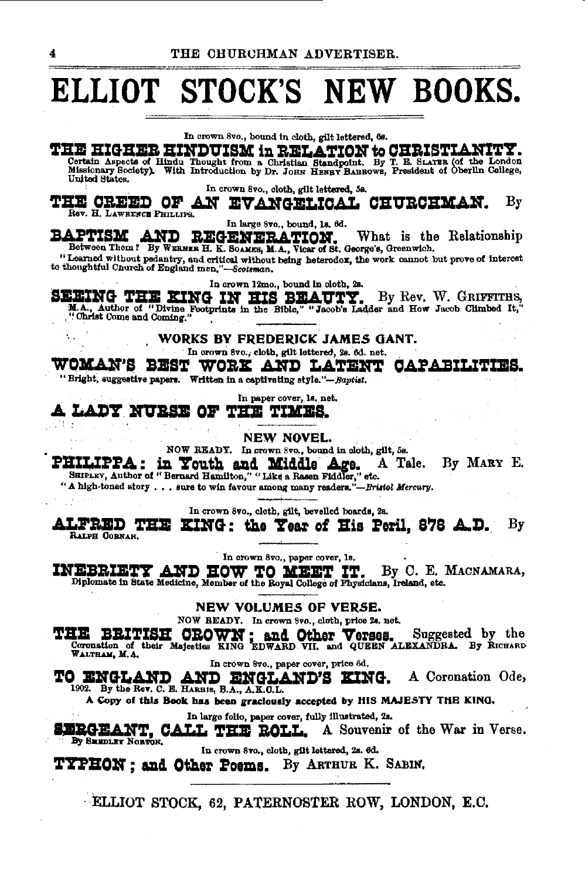## ELLIOT STOCK'S NEW BOOKS.

In crown 8vo., bound in cloth, gilt lettered, 6s.

**THE HIGHER HINDUISM in RELATION to CHRISTIANITY.** Certain Aspects of Hindu Thought from a Christian Standpoint. By T. E. SLATER (of the London Missionary Society). With Introduction by Dr. JOHN HENRY BARROWS, President of Oberlin College, United States.

In crown 8vo., cloth, gilt lettered, 5s.

THE CREED OF AN EVANGELICAL CHURCHMAN.  $\rm Br$ Rev. H. LAWRENCE PHILLIPS.

In large 8vo., bound, 1s. 6d.

BAPTISM AND REGENERATION. What is the Between Them? By WERNER E. E. SOARES, M.A., Vicar of St. George's, Greenwich. What is the Relationship

Tearned without pedantry, and critical without being heterodox, the work cannot but prove of interest<br>to thoughtful Church of England men,"-Scotsman.

In crown 12mo., bound in cloth, 2s.

SEEING THE KING IN HIS BEAUTY. By Rev. W. GRIFFITHS, M.A., Author of "Divine Footprints in the Bible," "Jacob's Ladder and How Jacob Climbed It,"

WORKS BY FREDERICK JAMES GANT.

In crown 8vo., cloth, gilt lettered, 2s. 6d. net.

WOMAN'S BEST WORK AND LATENT CAPABILITIES. "Bright, suggestive papers. Written in a captivating style."-Baptist.

In paper cover, le. net.

A LADY NURSE OF THE TIMES. ΉB,

**NEW NOVEL.** 

NOW READY. In crown 8vo., bound in cloth, gilt, 5s.

**PHILIPPA: in Youth and Middle Age.** A Tale.<br>SHIPLEY, Author of "Bernard Hamilton," "Like a Rasen Fiddler," etc.<br>"A high-toned story . . . sure to win favour among many readera."-Bristol Mercury. A Tale. By MARY E.

In crown 8vo., cloth, gilt, bevelled boards, 2s.

ALFRED THE KING: the Year of His Peril, 878 A.D. By **BATER CORPART** 

In crown 8vo., paper cover, 1s.

INEBRIETY AND HOW TO MEET IT. By C. E. MACNAMARA, Diplomate in State Medicine, Member of the Royal College of Physicians, Ireland, etc.

NEW VOLUMES OF VERSE.

NOW READY. In crown 8vo., cloth, price 2s. net.

THE BRITISH CROWN; and Other Verses. Suggested by the Coronation of their Majesties KING EDWARD VII, and QUEEN ALEXANDRA. By RICHARD WALTHAM, M.A.

In crown 8vo., paper cover, price 6d.

TO ENGLAND AND ENGLAND'S KING. A Coronation Ode,

A Copy of this Book has been graciously accepted by HIS MAJESTY THE KING.

In large folio, paper cover, fully illustrated, 2s.

SERGEANT, CALL THE ROLL. A Souvenir of the War in Verse.

In crown 8vo., cloth, gilt lettered, 2s. 6d.

**TYPHON: and Other Poems.** By ARTHUR K. SABIN.

ELLIOT STOCK, 62, PATERNOSTER ROW, LONDON, E.C.

4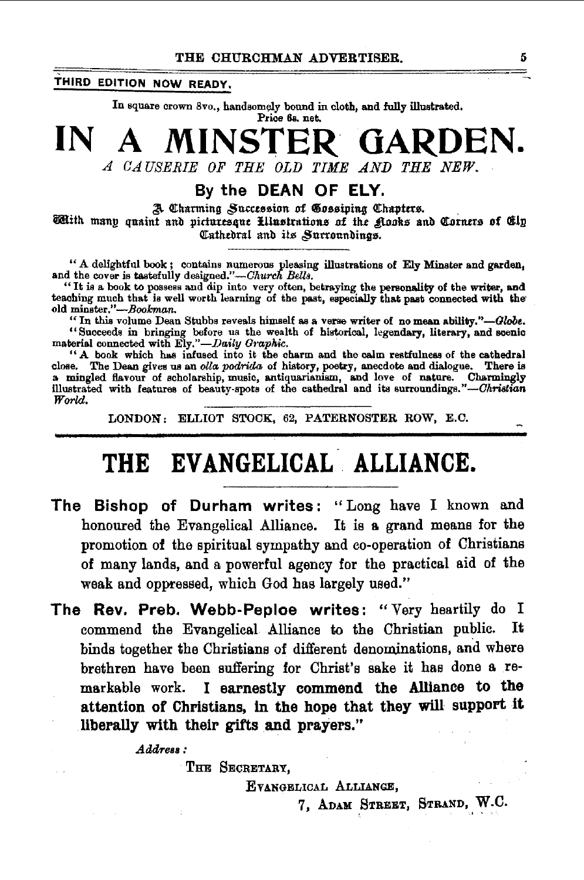## THIRD EDITION NOW READY.

In square crown 8vo., handsomely bound in cloth, and fully illustrated.

Price 6s. net.

## **NSTER GARDEN.** IN

A CAUSERIE OF THE OLD TIME AND THE NEW.

## By the DEAN OF ELY.

A Charming Succession of Cossiping Chapters. With many quaint and picturesque Lllustrations of the Rooks and Corners of Clp Cathedral and its Surroundings.

"A delightful book; contains numerous pleasing illustrations of Ely Minster and garden, and the cover is tastefully designed."—Church Bells.<br>"It is a book to possess and dip into very often, betraying the personality of t old minster."-Bookman.

"In this volume Dean Stubbs reveals himself as a verse writer of no mean ability."-Globe. "Succeeds in bringing before us the wealth of historical, legendary, literary, and soenic<br>material connected with Ely."—Daily Graphic.

"A book which has infused into it the charm and the calm restfulness of the cathedral close. The Dean gives us an olla podrida of history, poetry, anecdote and dialogue. There is<br>a mingled flavour of scholarship, music, antiquarianism, and love of nature. Charmingly<br>illustrated with features of beauty-spots World.

LONDON: ELLIOT STOCK, 62, PATERNOSTER ROW, E.C.

## THE EVANGELICAL ALLIANCE.

- The Bishop of Durham writes: "Long have I known and honoured the Evangelical Alliance. It is a grand means for the promotion of the spiritual sympathy and co-operation of Christians of many lands, and a powerful agency for the practical aid of the weak and oppressed, which God has largely used."
- The Rev. Preb. Webb-Peploe writes: "Very heartily do I commend the Evangelical Alliance to the Christian public. It binds together the Christians of different denominations, and where brethren have been suffering for Christ's sake it has done a re-I earnestly commend the Alliance to the markable work. attention of Christians, in the hope that they will support it liberally with their gifts and prayers."

Address:

THE SECRETARY.

EVANGELICAL ALLIANCE,

7, ADAM STREET, STRAND, W.C.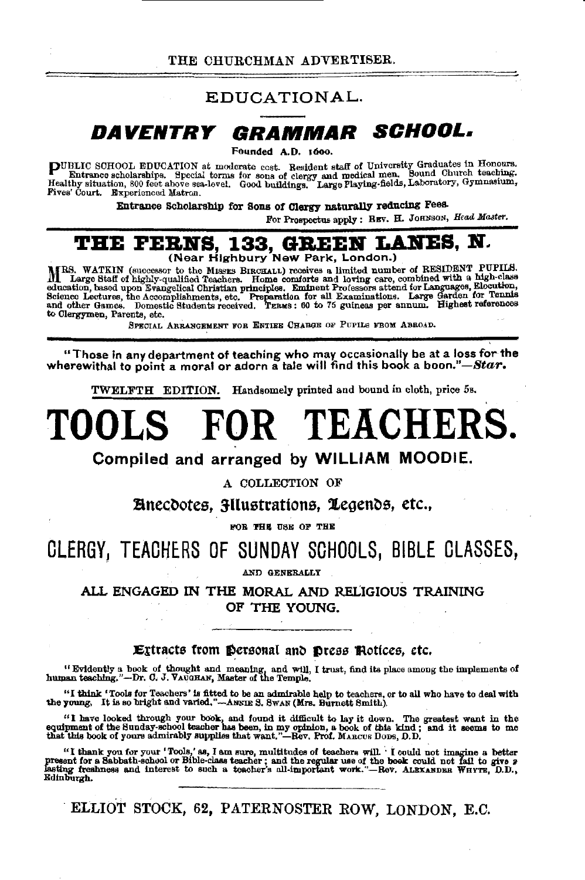## EDUCATIONAL.

## **DAVENTRY QRAMMAR SCHOOL.**

Founded A.D. 1600.

**PUBLIC SCHOOL EDUCATION** at moderate cost. Resident staff of University Graduates in Honours.<br>Entrance scholarships. Special torms for sons of clergy and medical men. Sound Church teaching.<br>Healthy situation, 800 feet abo

Entrance Scholarship for Sons of Clergy naturally reducing Fees.

For Prospectus apply: REV. H. JOHNSON, *Head Master*.

## **THE FERNS, 133, GREEN LANES, N.**<br>
(Near Highbury New Park, London.)

lift RS. WATKIN (successor to the MISSES BIRCHALL) receives a limited number of RESIDENT PUPILS.<br>In Large Staff of highly-qualified Teachers. Home comforts and loving care, combined with a high-class. education, based upon Evangelical Christian principles. Eminent Professors attend for Languages, Elocuton.<br>Science Lectures, the Accomplishments, etc. Preparation for all Examinations. Large Garden for Tennis<br>and\_othe to Clergymen, Parenta, etc.

SPECIAL ARRANGEMENT FOR ENTIRE CHARGE OF PUPILS FROM ABROAD.

"Those in any department of teaching who may occasionally be at a loss for the wherewithal to point a moral or adorn a tale will find this book a *boon."-Star.* 

TWELFTH EDITION. Handsomely printed and bound in cloth, price 5s.

# **TOOLS FOR TEACHERS.**

Compiled and arranged by WILLIAM MOODIE.

A COLLECTION OF

!lnect)otes, 3Uustrattons, 1egenbs, etc.,

FOR THE USE OF THE

## CLERGY, TEACHERS OF SUNDAY SCHOOLS, BIBLE CLASSES,

ALL ENGAGED IN THE MORAL AND RELIGIOUS TRAINING OF THE YOUNG.

#### Extracts from personal and press Rotices, etc.

<sup>11</sup> Evidently a book of thought and meaning, and will, I trust, find its place among the implements of human teaching,"--Dr. C. J. VAUGHAN, Master of the Temple.

"I think 'Tools for Teachers' is fitted to be an admirable help to teachers, or to all who have to deal with the young. It is so bright and varied,"-Am. Is S. SwAN (Mrs. Burnett Smith).

"I have looked through your book, and found it difficult to lay it down. The greatest want in the equipment of the Sunday-school teacher has been, in my opinion, a book of this kind; and it seems to me that this book of y

"I thank you for your 'Tools,' as, I am sure, multitudes of teachers will. I could not imagine a better<br>present for a Sabbath-school or Bible-class teacher; and the regular use of the book could not fail to give  $p$ <br>lasti Edinburgh.

ELLIOT STOCK, 62, PATERNOSTER ROW, LONDON, E.C.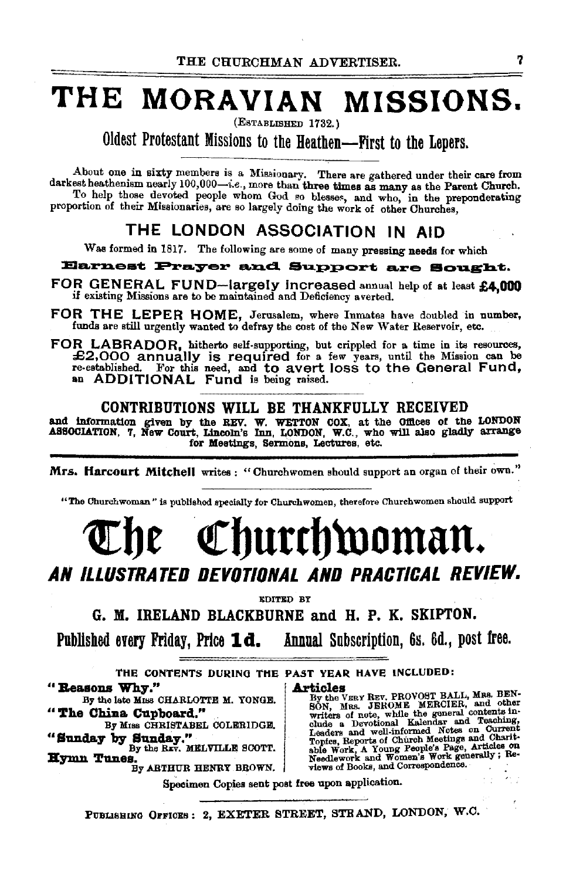## **THE MORAVIAN MISSIONS.**

(ESTABLIBHED 1732.)

Oldest Protestant Missions to the Heathen--First to the Lepers.

About one in sixty members is a Missionary. There are gathered under their care from darkest heathenism nearly 100,000-i.e., more than three times as many as the Parent Church. To help those devoted people whom God so blesses, and who, in the preponderating proportion of their Missionaries, are so largely doing the work of other Churches,

## THE LONDON ASSOCIATION IN AID

Was formed in 1817. The following are some of many pressing needs for which

#### Earnest Prayer and Support are Sought.

FOR GENERAL FUND-largely increased annual help of at least £4,000 if existing Missions are to be maintained and Deficiency averted.

FOR THE LEPER HOME, Jerusalem, where Inmates have doubled in number, funds are still urgently wanted to defray the cost of the New Water Reservoir, etc.

FOR LABRADOR, hitherto self-supporting, but crippled for a time in its resources, £2,000 annually is required for a few years, until the Mission can be re-established. For this need, and to avert loss to the General Fund, an ADDITIONAL Fund is being raised.

## CONTRIBUTIONS WILL BE THANKFULLY RECEIVED

and information given by the REV. W. WETTON COX, at the Offices of the LONDON ASSOCIATION, 7, New Court, Lincoln's Inn, LONDON, W.C., who will also gladly arrange for Meetings, Sermons, Lectures, etc.

Mrs. Harcourt Mitchell writes : "Churchwomen should support an organ of their own."

"The Churchwoman" is published specially for Churchwomen, therefore Ohurehwomen should support

## Churchwoman. *AN ILLUSTRATED DEVOTIONAL AND PRACTICAL REVIEW.*

**EDITED BY** 

G. If. IRELAND BLACKBURNE and H. P. K. SKIPTON.

Published enry Friday, Price **ld.** Annual Subscription, 6s. 6d., post free.

THE CONTENTS DURING THE PAST YEAR HAVE INCLUDED: **4 Reasons Why."** By the late MISS CHARLOTTE M. YONGE.  $\frac{By \ the \ V}{By \ the \ V}$ 

By the late Miss CHARLOTTE M. YONGE. By the VERY REV. PROVOST BALL, Mas. BEN-<br>SON, Mas. JEROME MERCIER, and other<br>"The China Cupboard." writers of note, while the general contents in-

By Miss CHRISTABEL COLERIDGE. Solution a Devotional Kalendar and Teaching Dy Sunday by Sunday."<br>
"Sunday by Sunday." Leaders and well-informed Notes on Current<br>
"By the REV. MELVILLE SCOTT. She work A Young People's Page, **Hymn Tunes.** By ABTHUR HENRY BROWN. We views of Books, and Correspondence.

Specimen Copies sent post free upon application.

PUBLISHING OFFICES: 2, EXETER STREET, STRAND, LONDON, W.C.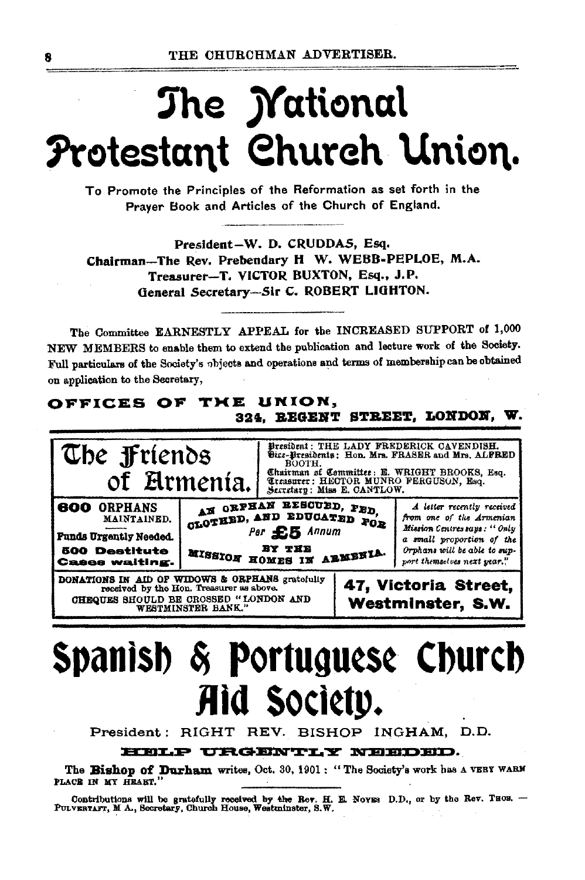# The *Mational* Protestant Church Union.

To Promote the Principles of the Reformation as set forth in the Prayer Book and Articles of the Church of England.

President-W. D. CRUDDAS. Esa. Chairman-The Rev. Prebendary H W. WEBB-PEPLOE, M.A. Treasurer-T. VICTOR BUXTON, Esq., J.P. General Secretary-Sir C. ROBERT LIGHTON.

The Committee EARNESTLY APPEAL for the INCREASED SUPPORT of 1,000 NEW MEMBERS to enable them to extend the publication and lecture work of the Society. Full particulars of the Society's objects and operations and terms of membership can be obtained on application to the Secretary,

#### OFFICES OF THE UNION. 324. REGENT STREET. LONDON, W.



# Spanish & Portuguese Church Aid Society.

President: RIGHT REV. BISHOP INGHAM, D.D.

#### HELP URGENTLY NEEDED.

The Bishop of Durham writes, Oct. 30, 1901: "The Society's work has a VERT WARM PLACE IN MY HEART."

Contributions will be gratefully received by the Rev. H. E. Novas D.D., or by the Rev. THOS. -- PULVERTAFT, M A., Secretary, Church House, Westminster, S.W.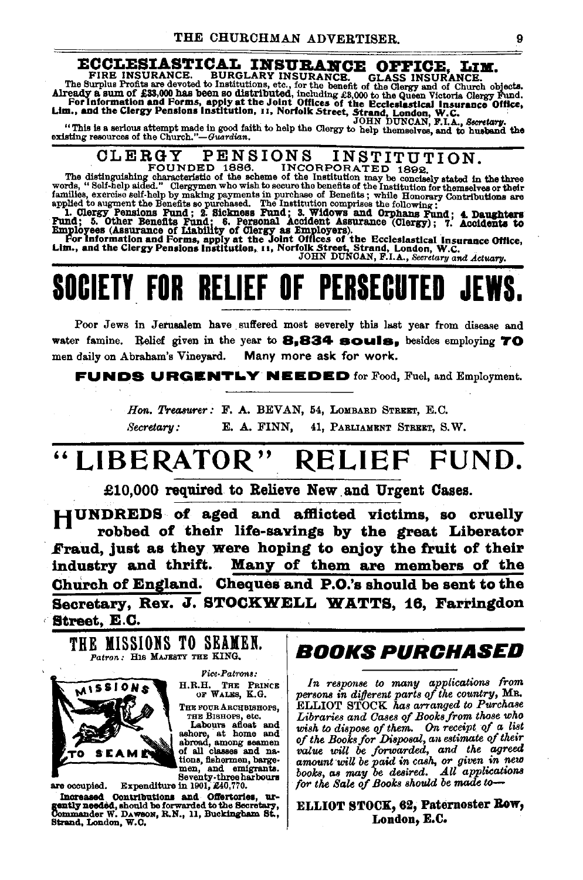**ECCLESIASTICAL INSURANCE.** CLASS INSURANCE. FIRE INSURANCE. BURGLARY INSURANCE. GLASS INSURANCE. The Surplus Profits are devoted to Institutions, etc., for the benefit of the Clergy and of Church objects. Already a sum of

NS INSTITUTION. CLERGY **PENSIONS** FOUNDED 1886.

The distinguishing charge  $\sim$  1999.<br>The distinguishing characteristic of the scheme of the Institution may be conciledly stated in the three<br>words, "Self-help aided." Clergymen who wish to secure the benefits of the Inst words, "Self-help aided." Clergymen who wish to secure the benefits of the institution for themselves or their families, exercise self-help by making payments in purchase of Benefits is while Honorary Contributions are app

## **SOCIETY FOR RELIEF OF PERSECUTED**

Poor Jews in Jerusalem have suffered most severely this last year from disease and water famine. Relief given in the year to 8.834 souls. besides employing 70 men daily on Abraham's Vineyard. Many more ask for work.

**FUNDS URGENTLY NEEDED** for Food, Fuel, and Employment.

Hon. Treasurer: F. A. BEVAN, 54, LOMBARD STREET, E.C. Secretary: E. A. FINN, 41, PARLIAMENT STREET, S.W.

#### "LIBERATOR" FUND. **RELIEF**

£10,000 required to Relieve New and Urgent Cases.

HUNDREDS of aged and afflicted victims, so cruelly robbed of their life-savings by the great Liberator Fraud, just as they were hoping to enjoy the fruit of their industry and thrift. Many of them are members of the Church of England. Cheques and P.O.'s should be sent to the Secretary, Rev. J. STOCKWELL WATTS, 16, Farringdon Street, E.C.

THE MISSIONS TO SEAMEN. Patron: HIS MAJESTY THE KING.



**Fice-Patrons:** 

H.R.H. THE PRINCE OF WALES, K.G.

THE FOUR ARCHBISHOPS,

THE FOUR ARCHBEROTS,<br>THE BISIONS and and<br>ashore, at home and<br>abroad, among seamen<br>of all classes and nations, fishermen, bargemen, and emigrants.<br>
Seventy-three harbours<br>
Expenditure in 1901, £40,770.

are occupied. Increased Contributions and Offstories, urgently needed, should be forwarded to the Secretary, Commander W. DAWSON, R.N., 11, Buckingham St., Strand, London, W.C.

## *BOOKS PURCHASED*

In response to many applications from persons in different parts of the country, MR. ELLIOT STOCK has arranged to Purchase Libraries and Cases of Books from those who wish to dispose of them. On receipt of a list<br>of the Books for Disposal, an estimate of their<br>value will be forwarded, and the agreed amount will be paid in cash, or given in new books, as may be desired. All applications for the Sale of Books should be made to-

#### ELLIOT STOCK, 62, Paternoster Row, London, E.C.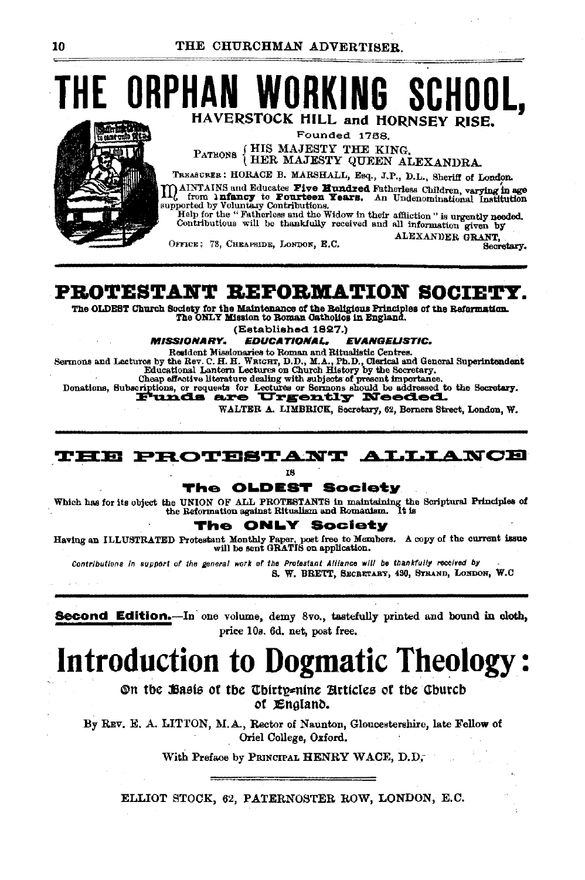**THE ORPHAN WORKING SCHOUL** HAVERSTOCK HILL and HORNSEY RISE.

**Angle Chil** 

Founded 1788. PATRONS {HIS MAJESTY THE KING,<br>HER MAJESTY QUEEN ALEXANDRA.

TREASURER: HORACE B. MARSHALL, Esq., J.P., D.L., Sheriff of London. MAINTAINS and Educates Five Hundred Fatherless Children, varying in age III Ally from hence the current constructs contribute to form in the supported by Voluntary Contributions.<br>supported by Voluntary Contributions.<br>Help for the "Fatherless and the Widow in their affliction" is urgently neede

Contributious will be thankfully received and all information given by ALEXANDER GRANT.

OFFICE: 78. CHEAPSIDE. LONDON. E.C.

Secretary.

## PROTESTANT REFORMATION SOCIETY.

The OLDEST Church Society for the Maintenance of the Beligious Principles of the Beformation. The ONLY Mission to Roman Catholics in England.

(Established 1827.)

**MISSIONARY. EDUCATIONAL, EVANGELISTIC.** 

Resident Missionaries to Roman and Ritualistic Centres.

Sermons and Lectures by the Rev. C. H. H. WRIGHT, D.D., M.A., Ph.D., Clerical and General Superintendent Educational Lantern Lectures on Church History by the Secretary.

Cheap effective literature dealing with subjects of present importance.

Donations, Subscriptions, or requests for Lectures or Sermons should be addressed to the Secretary.

WALTER A. LIMBRICK, Secretary, 62, Berners Street, London, W.

THE PROTESTANT ALLIANCE

IS.

#### The OLDEST Society

Which has for its object the UNION OF ALL PROTESTANTS in maintaining the Scriptural Principles of the Reformation against Ritualism and Romanism. It is

#### The ONLY Society

Having an ILLUSTRATED Protestant Monthly Paper, poet free to Members. A copy of the current issue will be sent GRATIS on application.

Contributions in support of the general work of the Protestant Alliance will be thankfully received by S. W. BRETT, SECRETARY, 430, STRAND, LONDON, W.C.

**Second Edition.**—In one volume, demy 8vo., tastefully printed and bound in cloth, price 10s. 6d. net, post free.

## **Introduction to Dogmatic Theology:**

On the Basis of the Chirty=nine Articles of the Church of England.

By REV. E. A. LITTON, M.A., Rector of Naunton, Gloucestershire, late Fellow of Oriel College, Oxford.

With Preface by PRINCIPAL HENRY WACE, D.D.,

ELLIOT STOCK, 62, PATERNOSTER ROW, LONDON, E.C.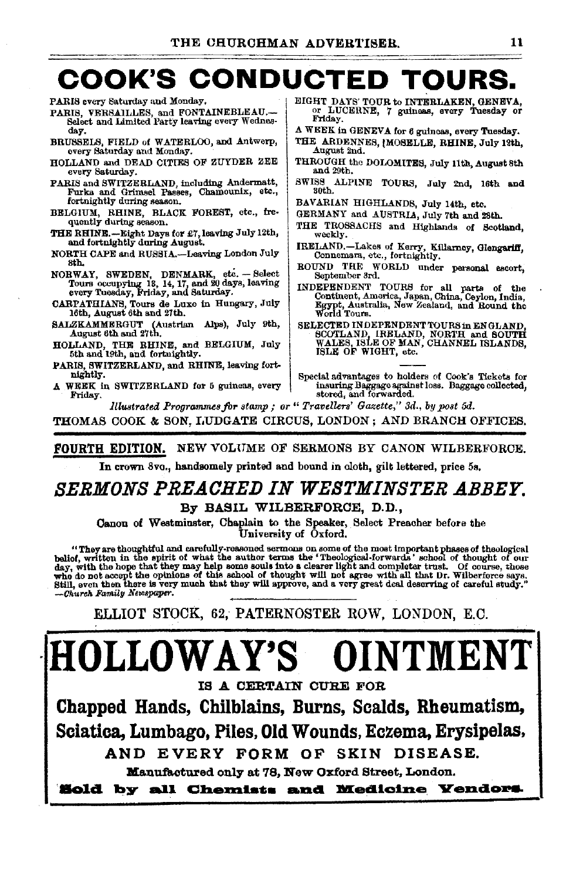# COOK'S CONDUCTED TOURS.<br>ARIS svery Saturday and Monday.

PARIS every Saturday and Monday,

- PARIS, VERSAILLES, and FONTAINEBLEAU.—<br>Select and Limited Party leaving every Wednesday.
- BRUSSELS, FIELD of WATERLOO, and Antwerp, every Saturday and Monday.
- HOLLAND and DEAD CITIES OF ZUYDER ZEE every Saturday.
- PARIS and SWITZERLAND, including Andermatt, Furka and Grimsel Passes, Chamounlx, etc., fortnightly during season.
- BELGIUM, RHINE, BLACK FOREST, etc., fre-<br>quently during season.
- THE RHINB.-Eight Days fol' *£1,* leaving July 12th, and fortnightly during August.
- NORTH CAPE and RUSSIA.-Leaving London July
- NORWAY, SWEDEN, DENMARK, etc. -- Select Tours occupying 18, 14, 17, and 20 days, leaving every Tuesday, Friday, and Saturday.
- CARPATHIANS, Tours de Luxe in Hungary, July 16th, August 6th and 27th.
- BALZKAMMERGUT (Austrian Alps), July 9th, August 6th and 27th.
- HOLLAND, THE RHINE, and BELGIUM, July 5th and 19th, and fortnightly.
- PARIS, SWITZERLAND, and RHINE, leaving fortnightly.
- A WEEK in SWITZERLAND for 5 guineas, every Friday.
- or LUCERNE, 7 guineas, every Tuesday or<br>Friday.
- A WEEK In GENEVA for 6 guineas, every Tuesday.
- THE ARDENNES, [MOSELLE, RHINE, July 12th, August 2nd.
- THROUGH the DOLOMITES, July 11th, August 8th and 29th.
- SWISS ALPINE TOURS, July 2nd, 16th and 30th.
- BAVARIAN HIGHLANDS, July 14th, etc.
- GERMANY and AUSTRIA, July 7th and 28th.
- THE TROSSACHS and Highlands of Scotland, weekly.
- IRELAND.-Lakes of Kerry, Killarney, Glengariff, Connemara, etc., fortnightly.
- ROUND THE WORLD under personal escort, September ard.
- INDEPENDENT TOURS for all parts of the Continent, America, Japan, China, Ceylon, India, Egypt, Australia, New Zealand, and Round the World Tours.
- SELECTED INDEPENDENT TOURS in ENGLAND SCOTLAND, IRELAND, NORTH and SOUTH WALES, ISLE OF MAN, CHANNEL ISLANDS,<br>ISLE OF WIGHT, etc.
- Special advantages to holders of Cook's Tickets for insuring Baggage against loss. Baggage collected, stored, and forwarded.

*lllmtrateit Programmes for stamp; or" Travellers' Gazette," 3d., by post 5d.* 

THOMAS COOK & SON, LUDGATE CIRCUS, LONDON; AND BRANCH OFFICES.

## FOURTH EDITION. NEW VOLUME OF SERMONS BY CANON WILBERFORCE.

In crown 8vo., handsomely printed and bound in cloth, gilt lettered, price 5s.

## *SERMONS PREACHED IN WESTMINSTER ABBEY.*  By BASIL WILBERFORCE, D.D.,

Canon of Westminster, Chaplain to the Speaker, Select Preacher before the University of Oxford.

They are thoughtful and carefully-reasoned sermons on some of the most important phases of theological ''')<br>belief, written in the spirit of what the author terms the ''Theological-forwards'' school of thought of our<br>day, who do not accept the opinions of this school of thought will not agree with all that Dr. Wilberforce says.<br>Still, even then there is very much that they will approve, and a very great deal deserving of careful study."<br>—Ch

ELLIOT STOCK, 62, PATERNOSTER ROW, LONDON, E.O.